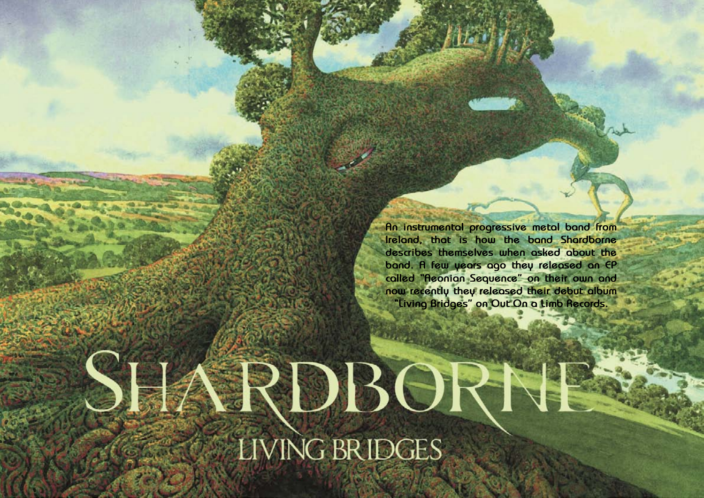Hallowed PDF-article Design by Daniel Källmalm

**An instrumental progressive metal band from Ireland, that is how the band Shardborne describes themselves when asked about the band. A few years ago they released an EP called "Aeonian Sequence" on their own and now recently they released their debut album "Living Bridges" on Out On a Limb Records.**

## SHARDBORN LIVING BRIDGES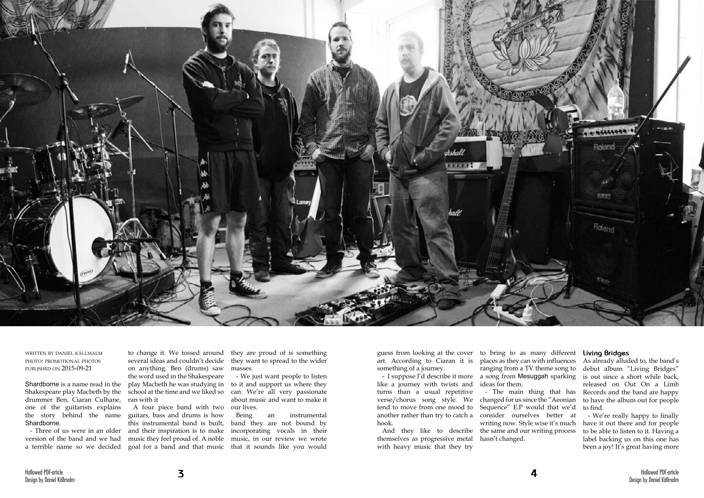

written by daniel källmalm photo: promotional photos published on 2015-09-21

Shardborne is a name read in the Shakespeare play Macbeth by the drummer Ben, Ciaran Culhane, one of the guitarists explains the story behind the name Shardborne.

- Three of us were in an older version of the band and we had

several ideas and couldn't decide on anything. Ben (drums) saw the word used in the Shakespeare play Macbeth he was studying in school at the time and we liked so ran with it

a terrible name so we decided goal for a band and that music that it sounds like you would A four piece band with two our lives. guitars, bass and drums is how this instrumental band is built, and their inspiration is to make

to change it. We tossed around they are proud of is something they want to spread to the wider masses.

- I suppose I'd describe it more a song from Mesuggah sparking places as they can with influences ranging from a TV theme song to ideas for them.

music they feel proud of. A noble music, in our review we wrote Being an instrumental band they are not bound by incorporating vocals in their

- We just want people to listen to it and support us where they can. We're all very passionate about music and want to make it

guess from looking at the cover to bring to as many different **Living Bridges** art. According to Ciaran it is something of a journey.

like a journey with twists and turns than a usual repetitive verse/chorus song style. We changed for us since the "Aeonian tend to move from one mood to another rather than try to catch a consider ourselves better at hook.

And they like to describe themselves as progressive metal with heavy music that they try

- The main thing that has Sequence" E.P would that we'd writing now. Style wise it's much the same and our writing process hasn't changed.

As already alluded to, the band's debut album "Living Bridges" is out since a short while back, released on Out On a Limb Records and the band are happy to have the album out for people to find.

- We're really happy to finally have it out there and for people to be able to listen to it. Having a label backing us on this one has been a joy! It's great having more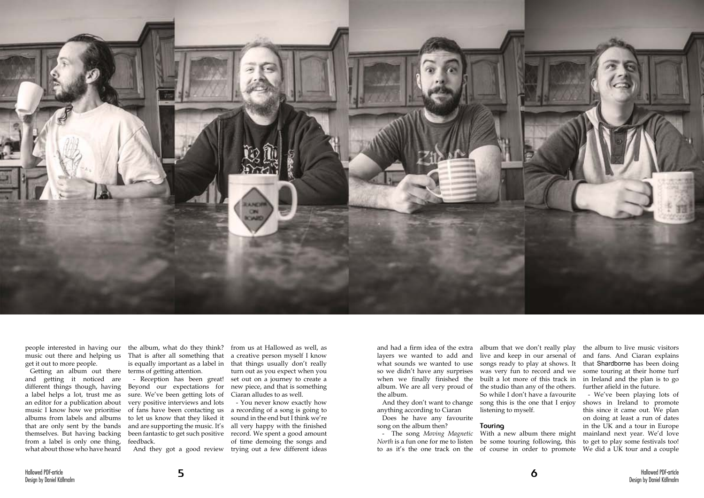

people interested in having our get it out to more people.

Getting an album out there and getting it noticed are different things though, having a label helps a lot, trust me as an editor for a publication about music I know how we prioritise albums from labels and albums that are only sent by the bands themselves. But having backing from a label is only one thing, what about those who have heard

music out there and helping us That is after all something that the album, what do they think? is equally important as a label in terms of getting attention.

Reception has been great! Beyond our expectations for sure. We've been getting lots of very positive interviews and lots of fans have been contacting us to let us know that they liked it and are supporting the music. It's been fantastic to get such positive record. We spent a good amount feedback.

- The song *Moving Magnetic North* is a fun one for me to listen be some touring following, this

from us at Hallowed as well, as a creative person myself I know that things usually don't really turn out as you expect when you set out on a journey to create a new piece, and that is something Ciaran alludes to as well.

And they got a good review trying out a few different ideas

- You never know exactly how a recording of a song is going to sound in the end but I think we're all very happy with the finished of time demoing the songs and

and had a firm idea of the extra layers we wanted to add and what sounds we wanted to use so we didn't have any surprises when we finally finished the album. We are all very proud of the studio than any of the others. the album.

anything according to Ciaran

Does he have any favourite song on the album then?

And they don't want to change song this is the one that I enjoy album that we don't really play live and keep in our arsenal of songs ready to play at shows. It was very fun to record and we built a lot more of this track in in Ireland and the plan is to go So while I don't have a favourite listening to myself.

to as it's the one track on the of course in order to promote With a new album there might

## **Touring**

the album to live music visitors and fans. And Ciaran explains that Shardborne has been doing some touring at their home turf further afield in the future.

- We've been playing lots of shows in Ireland to promote this since it came out. We plan on doing at least a run of dates in the UK and a tour in Europe mainland next year. We'd love to get to play some festivals too! We did a UK tour and a couple